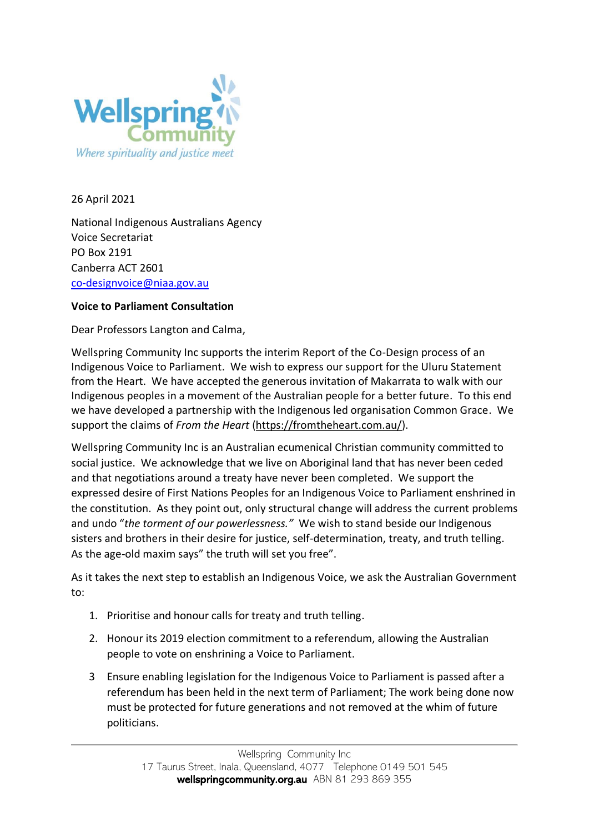

26 April 2021

National Indigenous Australians Agency Voice Secretariat PO Box 2191 Canberra ACT 2601 [co-designvoice@niaa.gov.au](mailto:co-designvoice@niaa.gov.au)

## **Voice to Parliament Consultation**

Dear Professors Langton and Calma,

Wellspring Community Inc supports the interim Report of the Co-Design process of an Indigenous Voice to Parliament. We wish to express our support for the Uluru Statement from the Heart. We have accepted the generous invitation of Makarrata to walk with our Indigenous peoples in a movement of the Australian people for a better future. To this end we have developed a partnership with the Indigenous led organisation Common Grace. We support the claims of *From the Heart* [\(https://fromtheheart.com.au/\)](https://fromtheheart.com.au/).

Wellspring Community Inc is an Australian ecumenical Christian community committed to social justice. We acknowledge that we live on Aboriginal land that has never been ceded and that negotiations around a treaty have never been completed. We support the expressed desire of First Nations Peoples for an Indigenous Voice to Parliament enshrined in the constitution. As they point out, only structural change will address the current problems and undo "*the torment of our powerlessness."* We wish to stand beside our Indigenous sisters and brothers in their desire for justice, self-determination, treaty, and truth telling. As the age-old maxim says" the truth will set you free".

As it takes the next step to establish an Indigenous Voice, we ask the Australian Government to:

- 1. Prioritise and honour calls for treaty and truth telling.
- 2. Honour its 2019 election commitment to a referendum, allowing the Australian people to vote on enshrining a Voice to Parliament.
- 3 Ensure enabling legislation for the Indigenous Voice to Parliament is passed after a referendum has been held in the next term of Parliament; The work being done now must be protected for future generations and not removed at the whim of future politicians.